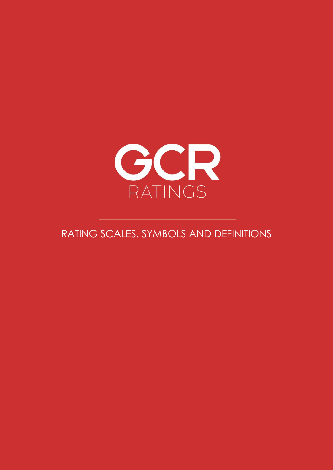

# RATING SCALES, SYMBOLS AND DEFINITIONS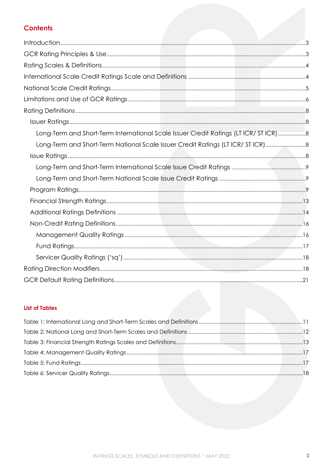# **Contents**

| Long-Term and Short-Term International Scale Issuer Credit Ratings (LT ICR/ ST ICR)8 |  |
|--------------------------------------------------------------------------------------|--|
| Long-Term and Short-Term National Scale Issuer Credit Ratings (LT ICR/ ST ICR)8      |  |
|                                                                                      |  |
|                                                                                      |  |
|                                                                                      |  |
|                                                                                      |  |
|                                                                                      |  |
|                                                                                      |  |
|                                                                                      |  |
|                                                                                      |  |
|                                                                                      |  |
|                                                                                      |  |
|                                                                                      |  |
|                                                                                      |  |

## **List of Tables**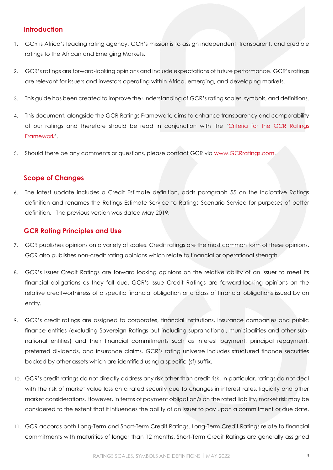## <span id="page-2-0"></span>**Introduction**

- 1. GCR is Africa's leading rating agency. GCR's mission is to assign independent, transparent, and credible ratings to the African and Emerging Markets.
- 2. GCR's ratings are forward-looking opinions and include expectations of future performance. GCR's ratings are relevant for issuers and investors operating within Africa, emerging, and developing markets.
- 3. This guide has been created to improve the understanding of GCR's rating scales, symbols, and definitions.
- 4. This document, alongside the GCR Ratings Framework, aims to enhance transparency and comparability of our ratings and therefore should be read in conjunction with the '[Criteria for the GCR Ratings](http://gcrratings.com/criteria)  [Framework](http://gcrratings.com/criteria)'.
- <span id="page-2-1"></span>5. Should there be any comments or questions, please contact GCR via [www.GCRratings.com.](http://gcrratings.com/)

## **Scope of Changes**

6. The latest update includes a Credit Estimate definition, adds paragraph 55 on the Indicative Ratings definition and renames the Ratings Estimate Service to Ratings Scenario Service for purposes of better definition. The previous version was dated May 2019.

## **GCR Rating Principles and Use**

- 7. GCR publishes opinions on a variety of scales. Credit ratings are the most common form of these opinions. GCR also publishes non-credit rating opinions which relate to financial or operational strength.
- 8. GCR's Issuer Credit Ratings are forward looking opinions on the relative ability of an issuer to meet its financial obligations as they fall due. GCR's Issue Credit Ratings are forward-looking opinions on the relative creditworthiness of a specific financial obligation or a class of financial obligations issued by an entity.
- 9. GCR's credit ratings are assigned to corporates, financial institutions, insurance companies and public finance entities (excluding Sovereign Ratings but including supranational, municipalities and other subnational entities) and their financial commitments such as interest payment, principal repayment, preferred dividends, and insurance claims. GCR's rating universe includes structured finance securities backed by other assets which are identified using a specific (sf) suffix.
- 10. GCR's credit ratings do not directly address any risk other than credit risk. In particular, ratings do not deal with the risk of market value loss on a rated security due to changes in interest rates, liquidity and other market considerations. However, in terms of payment obligation/s on the rated liability, market risk may be considered to the extent that it influences the ability of an issuer to pay upon a commitment or due date.
- 11. GCR accords both Long-Term and Short-Term Credit Ratings. Long-Term Credit Ratings relate to financial commitments with maturities of longer than 12 months. Short-Term Credit Ratings are generally assigned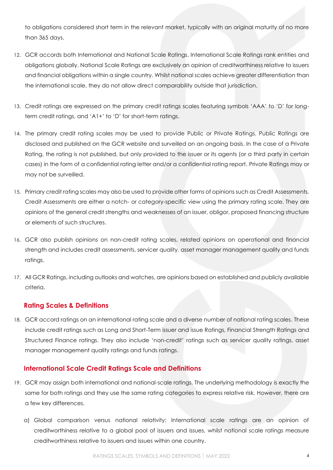to obligations considered short term in the relevant market, typically with an original maturity of no more than 365 days.

- 12. GCR accords both International and National Scale Ratings. International Scale Ratings rank entities and obligations globally. National Scale Ratings are exclusively an opinion of creditworthiness relative to issuers and financial obligations within a single country. Whilst national scales achieve greater differentiation than the international scale, they do not allow direct comparability outside that jurisdiction.
- 13. Credit ratings are expressed on the primary credit ratings scales featuring symbols 'AAA' to 'D' for longterm credit ratings, and 'A1+' to 'D' for short-term ratings.
- 14. The primary credit rating scales may be used to provide Public or Private Ratings. Public Ratings are disclosed and published on the GCR website and surveilled on an ongoing basis. In the case of a Private Rating, the rating is not published, but only provided to the issuer or its agents (or a third party in certain cases) in the form of a confidential rating letter and/or a confidential rating report. Private Ratings may or may not be surveilled.
- 15. Primary credit rating scales may also be used to provide other forms of opinions such as Credit Assessments. Credit Assessments are either a notch- or category-specific view using the primary rating scale. They are opinions of the general credit strengths and weaknesses of an issuer, obligor, proposed financing structure or elements of such structures.
- 16. GCR also publish opinions on non-credit rating scales, related opinions on operational and financial strength and includes credit assessments, servicer quality, asset manager management quality and funds ratings.
- 17. All GCR Ratings, including outlooks and watches, are opinions based on established and publicly available criteria.

## <span id="page-3-0"></span>**Rating Scales & Definitions**

18. GCR accord ratings on an international rating scale and a diverse number of national rating scales. These include credit ratings such as Long and Short-Term issuer and issue Ratings, Financial Strength Ratings and Structured Finance ratings. They also include 'non-credit' ratings such as servicer quality ratings, asset manager management quality ratings and funds ratings.

# <span id="page-3-1"></span>**International Scale Credit Ratings Scale and Definitions**

- 19. GCR may assign both international and national-scale ratings. The underlying methodology is exactly the same for both ratings and they use the same rating categories to express relative risk. However, there are a few key differences.
	- a) Global comparison versus national relativity: International scale ratings are an opinion of creditworthiness relative to a global pool of issuers and issues, whilst national scale ratings measure creditworthiness relative to issuers and issues within one country.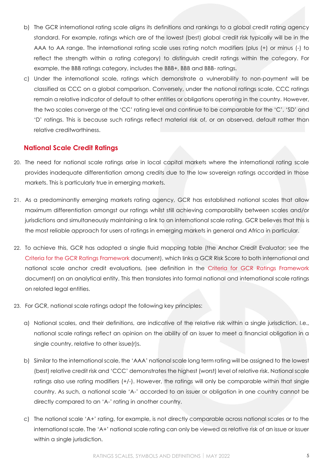- b) The GCR international rating scale aligns its definitions and rankings to a global credit rating agency standard. For example, ratings which are of the lowest (best) global credit risk typically will be in the AAA to AA range. The international rating scale uses rating notch modifiers (plus (+) or minus (-) to reflect the strength within a rating category) to distinguish credit ratings within the category. For example, the BBB ratings category, includes the BBB+, BBB and BBB- ratings.
- c) Under the international scale, ratings which demonstrate a vulnerability to non-payment will be classified as CCC on a global comparison. Conversely, under the national ratings scale, CCC ratings remain a relative indicator of default to other entities or obligations operating in the country. However, the two scales converge at the 'CC' rating level and continue to be comparable for the 'C', 'SD' and 'D' ratings. This is because such ratings reflect material risk of, or an observed, default rather than relative creditworthiness.

## <span id="page-4-0"></span>**National Scale Credit Ratings**

- 20. The need for national scale ratings arise in local capital markets where the international rating scale provides inadequate differentiation among credits due to the low sovereign ratings accorded in those markets. This is particularly true in emerging markets.
- 21. As a predominantly emerging markets rating agency, GCR has established national scales that allow maximum differentiation amongst our ratings whilst still achieving comparability between scales and/or jurisdictions and simultaneously maintaining a link to an international scale rating. GCR believes that this is the most reliable approach for users of ratings in emerging markets in general and Africa in particular.
- 22. To achieve this, GCR has adopted a single fluid mapping table (the Anchor Credit Evaluator; see the [Criteria for the GCR Ratings Framework](https://gcrratings.com/wp-content/uploads/2022/01/GCR_Criteria-for-the-GCR-Ratings-Framework-2022-final.pdf) document), which links a GCR Risk Score to both international and national scale anchor credit evaluations, (see definition in the [Criteria for GCR Ratings Framework](https://gcrratings.com/wp-content/uploads/2022/01/GCR_Criteria-for-the-GCR-Ratings-Framework-2022-final.pdf) document) on an analytical entity. This then translates into formal national and international scale ratings on related legal entities.
- 23. For GCR, national scale ratings adopt the following key principles:
	- a) National scales, and their definitions, are indicative of the relative risk within a single jurisdiction. I.e., national scale ratings reflect an opinion on the ability of an issuer to meet a financial obligation in a single country, relative to other issue(r)s.
	- b) Similar to the international scale, the 'AAA' national scale long term rating will be assigned to the lowest (best) relative credit risk and 'CCC' demonstrates the highest (worst) level of relative risk. National scale ratings also use rating modifiers (+/-). However, the ratings will only be comparable within that single country. As such, a national scale 'A-' accorded to an issuer or obligation in one country cannot be directly compared to an 'A-' rating in another country.
	- c) The national scale 'A+' rating, for example, is not directly comparable across national scales or to the international scale. The 'A+' national scale rating can only be viewed as relative risk of an issue or issuer within a single jurisdiction.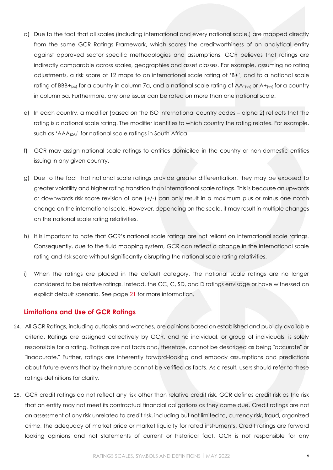- d) Due to the fact that all scales (including international and every national scale,) are mapped directly from the same GCR Ratings Framework, which scores the creditworthiness of an analytical entity against approved sector specific methodologies and assumptions, GCR believes that ratings are indirectly comparable across scales, geographies and asset classes. For example, assuming no rating adjustments, a risk score of 12 maps to an international scale rating of 'B+', and to a national scale rating of BBB+ $_{(xx)}$  for a country in column 7a, and a national scale rating of AA- $_{(yy)}$  or A+ $_{(yy)}$  for a country in column 5a. Furthermore, any one issuer can be rated on more than one national scale.
- e) In each country, a modifier (based on the ISO International country codes alpha 2) reflects that the rating is a national scale rating. The modifier identifies to which country the rating relates. For example, such as 'AAA<sub>(ZA)</sub>' for national scale ratings in South Africa.
- f) GCR may assign national scale ratings to entities domiciled in the country or non-domestic entities issuing in any given country.
- g) Due to the fact that national scale ratings provide greater differentiation, they may be exposed to greater volatility and higher rating transition than international scale ratings. This is because an upwards or downwards risk score revision of one (+/-) can only result in a maximum plus or minus one notch change on the international scale. However, depending on the scale, it may result in multiple changes on the national scale rating relativities.
- h) It is important to note that GCR's national scale ratings are not reliant on international scale ratings. Consequently, due to the fluid mapping system, GCR can reflect a change in the international scale rating and risk score without significantly disrupting the national scale rating relativities.
- i) When the ratings are placed in the default category, the national scale ratings are no longer considered to be relative ratings. Instead, the CC, C, SD, and D ratings envisage or have witnessed an explicit default scenario. See page [21](#page-20-0) for more information.

## <span id="page-5-0"></span>**Limitations and Use of GCR Ratings**

- 24. All GCR Ratings, including outlooks and watches, are opinions based on established and publicly available criteria. Ratings are assigned collectively by GCR, and no individual, or group of individuals, is solely responsible for a rating. Ratings are not facts and, therefore, cannot be described as being "accurate" or "inaccurate." Further, ratings are inherently forward-looking and embody assumptions and predictions about future events that by their nature cannot be verified as facts. As a result, users should refer to these ratings definitions for clarity.
- 25. GCR credit ratings do not reflect any risk other than relative credit risk. GCR defines credit risk as the risk that an entity may not meet its contractual financial obligations as they come due. Credit ratings are not an assessment of any risk unrelated to credit risk, including but not limited to, currency risk, fraud, organized crime, the adequacy of market price or market liquidity for rated instruments. Credit ratings are forward looking opinions and not statements of current or historical fact. GCR is not responsible for any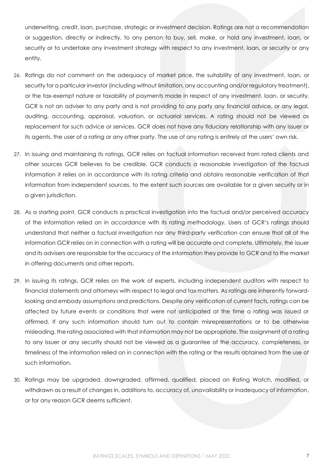underwriting, credit, loan, purchase, strategic or investment decision. Ratings are not a recommendation or suggestion, directly or indirectly, to any person to buy, sell, make, or hold any investment, loan, or security or to undertake any investment strategy with respect to any investment, loan, or security or any entity.

- 26. Ratings do not comment on the adequacy of market price, the suitability of any investment, loan, or security for a particular investor (including without limitation, any accounting and/or regulatory treatment), or the tax-exempt nature or taxability of payments made in respect of any investment, loan, or security. GCR is not an adviser to any party and is not providing to any party any financial advice, or any legal, auditing, accounting, appraisal, valuation, or actuarial services. A rating should not be viewed as replacement for such advice or services. GCR does not have any fiduciary relationship with any issuer or its agents, the user of a rating or any other party. The use of any rating is entirely at the users' own risk.
- 27. In issuing and maintaining its ratings, GCR relies on factual information received from rated clients and other sources GCR believes to be credible. GCR conducts a reasonable investigation of the factual information it relies on in accordance with its rating criteria and obtains reasonable verification of that information from independent sources, to the extent such sources are available for a given security or in a given jurisdiction.
- 28. As a starting point, GCR conducts a practical investigation into the factual and/or perceived accuracy of the information relied on in accordance with its rating methodology. Users of GCR's ratings should understand that neither a factual investigation nor any third-party verification can ensure that all of the information GCR relies on in connection with a rating will be accurate and complete. Ultimately, the issuer and its advisers are responsible for the accuracy of the information they provide to GCR and to the market in offering documents and other reports.
- 29. In issuing its ratings, GCR relies on the work of experts, including independent auditors with respect to financial statements and attorneys with respect to legal and tax matters. As ratings are inherently forwardlooking and embody assumptions and predictions. Despite any verification of current facts, ratings can be affected by future events or conditions that were not anticipated at the time a rating was issued or affirmed. If any such information should turn out to contain misrepresentations or to be otherwise misleading, the rating associated with that information may not be appropriate. The assignment of a rating to any issuer or any security should not be viewed as a guarantee of the accuracy, completeness, or timeliness of the information relied on in connection with the rating or the results obtained from the use of such information.
- 30. Ratings may be upgraded, downgraded, affirmed, qualified, placed on Rating Watch, modified, or withdrawn as a result of changes in, additions to, accuracy of, unavailability or inadequacy of information, or for any reason GCR deems sufficient.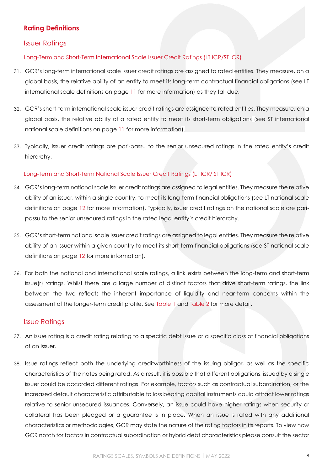# <span id="page-7-0"></span>**Rating Definitions**

## <span id="page-7-1"></span>Issuer Ratings

<span id="page-7-2"></span>Long-Term and Short-Term International Scale Issuer Credit Ratings (LT ICR/ST ICR)

- 31. GCR's long-term international scale issuer credit ratings are assigned to rated entities. They measure, on a global basis, the relative ability of an entity to meet its long-term contractual financial obligations (see LT international scale definitions on page [11](#page-10-0) for more information) as they fall due.
- 32. GCR's short-term international scale issuer credit ratings are assigned to rated entities. They measure, on a global basis, the relative ability of a rated entity to meet its short-term obligations (see ST international national scale definitions on page [11](#page-10-0) for more information).
- 33. Typically, issuer credit ratings are pari-passu to the senior unsecured ratings in the rated entity's credit hierarchy.

## <span id="page-7-3"></span>Long-Term and Short-Term National Scale Issuer Credit Ratings (LT ICR/ ST ICR)

- 34. GCR's long-term national scale issuer credit ratings are assigned to legal entities. They measure the relative ability of an issuer, within a single country, to meet its long-term financial obligations (see LT national scale definitions on page [12](#page-11-0) for more information). Typically, issuer credit ratings on the national scale are paripassu to the senior unsecured ratings in the rated legal entity's credit hierarchy.
- 35. GCR's short-term national scale issuer credit ratings are assigned to legal entities. They measure the relative ability of an issuer within a given country to meet its short-term financial obligations (see ST national scale definitions on page [12](#page-11-0) for more information).
- 36. For both the national and international scale ratings, a link exists between the long-term and short-term issue(r) ratings. Whilst there are a large number of distinct factors that drive short-term ratings, the link between the two reflects the inherent importance of liquidity and near-term concerns within the assessment of the longer-term credit profile. See [Table 1](#page-10-0) and [Table 2](#page-11-0) for more detail.

## <span id="page-7-4"></span>Issue Ratings

- 37. An issue rating is a credit rating relating to a specific debt issue or a specific class of financial obligations of an issuer.
- 38. Issue ratings reflect both the underlying creditworthiness of the issuing obligor, as well as the specific characteristics of the notes being rated. As a result, it is possible that different obligations, issued by a single issuer could be accorded different ratings. For example, factors such as contractual subordination, or the increased default characteristic attributable to loss bearing capital instruments could attract lower ratings relative to senior unsecured issuances. Conversely, an issue could have higher ratings when security or collateral has been pledged or a guarantee is in place. When an issue is rated with any additional characteristics or methodologies, GCR may state the nature of the rating factors in its reports. To view how GCR notch for factors in contractual subordination or hybrid debt characteristics please consult the sector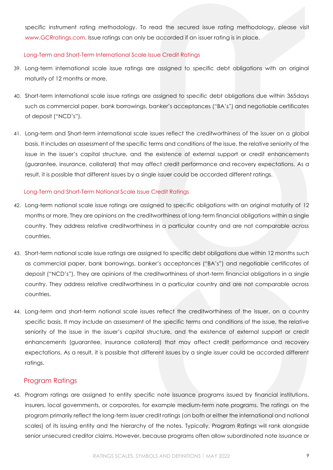specific instrument rating methodology. To read the secured issue rating methodology, please visit [www.GCRratings.com.](file:///C:/Users/RhonaB/AppData/Local/Microsoft/Windows/INetCache/Content.Outlook/8CS5WEIB/www.GCRratings.com) Issue ratings can only be accorded if an issuer rating is in place.

## <span id="page-8-0"></span>Long-Term and Short-Term International Scale Issue Credit Ratings

- 39. Long-term international scale issue ratings are assigned to specific debt obligations with an original maturity of 12 months or more.
- 40. Short-term international scale issue ratings are assigned to specific debt obligations due within 365days such as commercial paper, bank borrowings, banker's acceptances ("BA's") and negotiable certificates of deposit ("NCD's").
- 41. Long-term and Short-term international scale issues reflect the creditworthiness of the issuer on a global basis. It includes an assessment of the specific terms and conditions of the issue, the relative seniority of the issue in the issuer's capital structure, and the existence of external support or credit enhancements (guarantee, insurance, collateral) that may affect credit performance and recovery expectations. As a result, it is possible that different issues by a single issuer could be accorded different ratings.

## <span id="page-8-1"></span>Long-Term and Short-Term National Scale Issue Credit Ratings

- 42. Long-term national scale issue ratings are assigned to specific obligations with an original maturity of 12 months or more. They are opinions on the creditworthiness of long-term financial obligations within a single country. They address relative creditworthiness in a particular country and are not comparable across countries.
- 43. Short-term national scale issue ratings are assigned to specific debt obligations due within 12 months such as commercial paper, bank borrowings, banker's acceptances ("BA's") and negotiable certificates of deposit ("NCD's"). They are opinions of the creditworthiness of short-term financial obligations in a single country. They address relative creditworthiness in a particular country and are not comparable across countries.
- 44. Long-term and short-term national scale issues reflect the creditworthiness of the issuer, on a country specific basis. It may include an assessment of the specific terms and conditions of the issue, the relative seniority of the issue in the issuer's capital structure, and the existence of external support or credit enhancements (guarantee, insurance collateral) that may affect credit performance and recovery expectations. As a result, it is possible that different issues by a single issuer could be accorded different ratings.

## <span id="page-8-2"></span>Program Ratings

45. Program ratings are assigned to entity specific note issuance programs issued by financial institutions, insurers, local governments, or corporates, for example medium-term note programs. The ratings on the program primarily reflect the long-term issuer credit ratings (on both or either the international and national scales) of its issuing entity and the hierarchy of the notes. Typically, Program Ratings will rank alongside senior unsecured creditor claims. However, because programs often allow subordinated note issuance or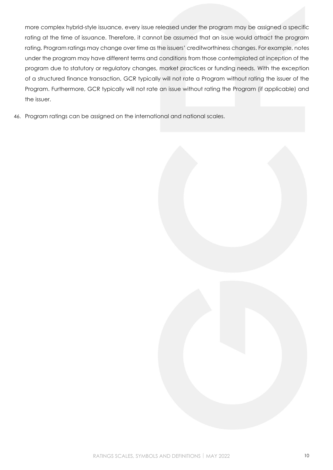more complex hybrid-style issuance, every issue released under the program may be assigned a specific rating at the time of issuance. Therefore, it cannot be assumed that an issue would attract the program rating. Program ratings may change over time as the issuers' creditworthiness changes. For example, notes under the program may have different terms and conditions from those contemplated at inception of the program due to statutory or regulatory changes, market practices or funding needs. With the exception of a structured finance transaction, GCR typically will not rate a Program without rating the issuer of the Program. Furthermore, GCR typically will not rate an issue without rating the Program (if applicable) and the issuer.

46. Program ratings can be assigned on the international and national scales.

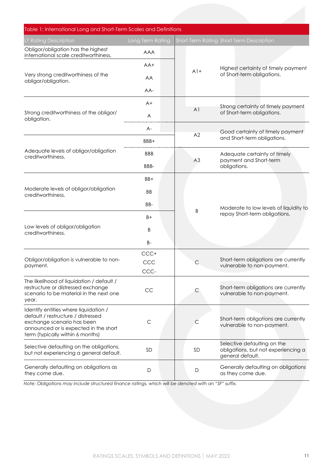<span id="page-10-0"></span>

| Table 1: International Long and Short-Term Scales and Definitions                                                                                                                      |                  |                   |                                                                                        |
|----------------------------------------------------------------------------------------------------------------------------------------------------------------------------------------|------------------|-------------------|----------------------------------------------------------------------------------------|
| LT Rating Description                                                                                                                                                                  | Long Term Rating |                   | <b>Short Term Rating Short Term Description</b>                                        |
| Obligor/obligation has the highest<br>international scale creditworthiness.                                                                                                            | <b>AAA</b>       |                   |                                                                                        |
|                                                                                                                                                                                        | $AA+$            |                   | Highest certainty of timely payment                                                    |
| Very strong creditworthiness of the<br>obligor/obligation.                                                                                                                             | AA               | $A$ <sup>1+</sup> | of Short-term obligations.                                                             |
|                                                                                                                                                                                        | AA-              |                   |                                                                                        |
|                                                                                                                                                                                        | $A+$             | A <sub>1</sub>    | Strong certainty of timely payment                                                     |
| Strong creditworthiness of the obligor/<br>obligation.                                                                                                                                 | A                |                   | of Short-term obligations.                                                             |
|                                                                                                                                                                                        | A-               |                   | Good certainty of timely payment                                                       |
|                                                                                                                                                                                        | BBB+             | A2                | and Short-term obligations.                                                            |
| Adequate levels of obligor/obligation<br>creditworthiness.                                                                                                                             | <b>BBB</b>       |                   | Adequate certainty of timely<br>payment and Short-term<br>obligations.                 |
|                                                                                                                                                                                        | BBB-             | A3                |                                                                                        |
| Moderate levels of obligor/obligation<br>creditworthiness.                                                                                                                             | BB+              |                   |                                                                                        |
|                                                                                                                                                                                        | <b>BB</b>        |                   |                                                                                        |
|                                                                                                                                                                                        | BB-              |                   | Moderate to low levels of liquidity to<br>repay Short-term obligations.                |
| Low levels of obligor/obligation<br>creditworthiness.                                                                                                                                  | $B+$             | B                 |                                                                                        |
|                                                                                                                                                                                        | B                |                   |                                                                                        |
|                                                                                                                                                                                        | <b>B-</b>        |                   |                                                                                        |
| Obligor/obligation is vulnerable to non-                                                                                                                                               | CCC+<br>CCC      | С                 | Short-term obligations are currently                                                   |
| payment.                                                                                                                                                                               | CCC-             |                   | vulnerable to non-payment.                                                             |
| The likelihood of liquidation / default /<br>restructure or distressed exchange<br>scenario to be material in the next one<br>year.                                                    | CC               | С                 | Short-term obligations are currently<br>vulnerable to non-payment.                     |
| Identify entities where liquidation /<br>default / restructure / distressed<br>exchange scenario has been<br>announced or is expected in the short<br>term (typically within 6 months) | $\mathsf{C}$     | С                 | Short-term obligations are currently<br>vulnerable to non-payment.                     |
| Selective defaulting on the obligations,<br>but not experiencing a general default.                                                                                                    | SD               | <b>SD</b>         | Selective defaulting on the<br>obligations, but not experiencing a<br>general default. |
| Generally defaulting on obligations as<br>they come due.                                                                                                                               | D                | $\mathsf D$       | Generally defaulting on obligations<br>as they come due.                               |

*Note: Obligations may include structured finance ratings, which will be denoted with an "SF" suffix.*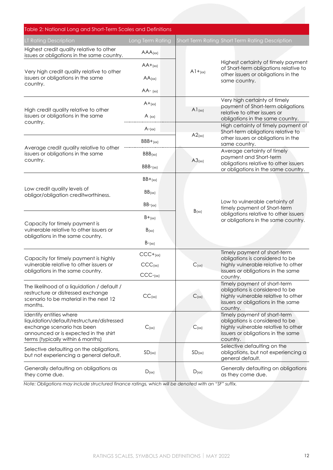<span id="page-11-0"></span>

| Table 2: National Long and Short-Term Scales and Definitions                                                                                                                      |                  |             |                                                                                                                                                          |  |
|-----------------------------------------------------------------------------------------------------------------------------------------------------------------------------------|------------------|-------------|----------------------------------------------------------------------------------------------------------------------------------------------------------|--|
| LT Rating Description                                                                                                                                                             | Long Term Rating |             | Short Term Rating Short Term Rating Description                                                                                                          |  |
| Highest credit quality relative to other<br>issues or obligations in the same country.                                                                                            | AAA(xx)          |             |                                                                                                                                                          |  |
| Very high credit quality relative to other                                                                                                                                        | $AA+_{(xx)}$     | $A1 + (xx)$ | Highest certainty of timely payment<br>of Short-term obligations relative to<br>other issuers or obligations in the<br>same country.                     |  |
| issuers or obligations in the same<br>country.                                                                                                                                    | AA(xx)           |             |                                                                                                                                                          |  |
|                                                                                                                                                                                   | $AA (xx)$        |             |                                                                                                                                                          |  |
| High credit quality relative to other                                                                                                                                             | $A+_{(xx)}$      | A1(xx)      | Very high certainty of timely<br>payment of Short-term obligations                                                                                       |  |
| issuers or obligations in the same<br>country.                                                                                                                                    | A $(xx)$         |             | relative to other issuers or<br>obligations in the same country.                                                                                         |  |
|                                                                                                                                                                                   | $A$ - $(xx)$     |             | High certainty of timely payment of<br>Short-term obligations relative to                                                                                |  |
|                                                                                                                                                                                   | $BBB+_{(xx)}$    | A2(xx)      | other issuers or obligations in the<br>same country.                                                                                                     |  |
| Average credit quality relative to other<br>issuers or obligations in the same                                                                                                    | BBB(xx)          |             | Average certainty of timely<br>payment and Short-term                                                                                                    |  |
| country.                                                                                                                                                                          | $BBB-(xx)$       | A3(xx)      | obligations relative to other issuers<br>or obligations in the same country.                                                                             |  |
| Low credit quality levels of<br>obligor/obligation creditworthiness.                                                                                                              | $BB+_{(xx)}$     |             | Low to vulnerable certainty of<br>timely payment of Short-term<br>obligations relative to other issuers<br>or obligations in the same country.           |  |
|                                                                                                                                                                                   | BB(xx)           | B(xx)       |                                                                                                                                                          |  |
|                                                                                                                                                                                   | $BB-(xx)$        |             |                                                                                                                                                          |  |
|                                                                                                                                                                                   | $B+_{(xx)}$      |             |                                                                                                                                                          |  |
| Capacity for timely payment is<br>vulnerable relative to other issuers or<br>obligations in the same country.                                                                     | $B_{(xx)}$       |             |                                                                                                                                                          |  |
|                                                                                                                                                                                   | $B$ - $(xx)$     |             |                                                                                                                                                          |  |
| Capacity for timely payment is highly                                                                                                                                             | $CCC+(xx)$       |             | Timely payment of short-term<br>obligations is considered to be                                                                                          |  |
| vulnerable relative to other issuers or<br>obligations in the same country.                                                                                                       | CCC(xx)          | $C_{(xx)}$  | highly vulnerable relative to other<br>issuers or obligations in the same                                                                                |  |
|                                                                                                                                                                                   | $CCC-(xx)$       |             | country.                                                                                                                                                 |  |
| The likelihood of a liquidation / default /<br>restructure or distressed exchange<br>scenario to be material in the next 12<br>months.                                            | $CC$ (xx)        | $C_{(xx)}$  | Timely payment of short-term<br>obligations is considered to be<br>highly vulnerable relative to other<br>issuers or obligations in the same<br>country. |  |
| Identify entities where<br>liquidation/default/restructure/distressed<br>exchange scenario has been<br>announced or is expected in the shirt<br>terms (typically within 6 months) | $C_{(xx)}$       | $C_{(xx)}$  | Timely payment of short-term<br>obligations is considered to be<br>highly vulnerable relative to other<br>issuers or obligations in the same<br>country. |  |
| Selective defaulting on the obligations,<br>but not experiencing a general default.                                                                                               | SD(xx)           | SD(xx)      | Selective defaulting on the<br>obligations, but not experiencing a<br>general default.                                                                   |  |
| Generally defaulting on obligations as<br>they come due.                                                                                                                          | D(xx)            | D(xx)       | Generally defaulting on obligations<br>as they come due.                                                                                                 |  |

*Note: Obligations may include structured finance ratings, which will be denoted with an "SF" suffix.*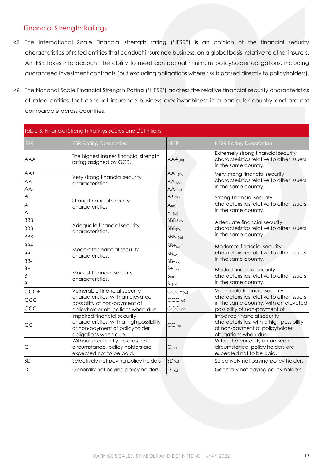# <span id="page-12-0"></span>Financial Strength Ratings

- 47. The International Scale Financial strength rating ("IFSR") is an opinion of the financial security characteristics of rated entities that conduct insurance business, on a global basis, relative to other insurers. An IFSR takes into account the ability to meet contractual minimum policyholder obligations, including guaranteed investment contracts (but excluding obligations where risk is passed directly to policyholders).
- 48. The National Scale Financial Strength Rating ('NFSR') address the relative financial security characteristics of rated entities that conduct insurance business creditworthiness in a particular country and are not comparable across countries.

<span id="page-12-1"></span>

| Table 3: Financial Strength Ratings Scales and Definitions |                                                                                                                                           |                                                 |                                                                                                                                                      |
|------------------------------------------------------------|-------------------------------------------------------------------------------------------------------------------------------------------|-------------------------------------------------|------------------------------------------------------------------------------------------------------------------------------------------------------|
| <b>IFSR</b>                                                | <b>IFSR Rating Description</b>                                                                                                            | <b>NFSR</b>                                     | <b>NFSR Rating Description</b>                                                                                                                       |
| <b>AAA</b>                                                 | The highest insurer financial strength<br>rating assigned by GCR.                                                                         | AAA(xx)                                         | Extremely strong financial security<br>characteristics relative to other issuers<br>in the same country.                                             |
| $AA+$<br>AA<br>AA-                                         | Very strong financial security<br>characteristics.                                                                                        | $AA+_{[XX]}$<br>$AA$ (xx)<br>$AA$ -(xx)         | Very strong financial security<br>characteristics relative to other issuers<br>in the same country.                                                  |
| $A+$<br>A<br>A-                                            | Strong financial security<br>characteristics                                                                                              | $A+_{(xx)}$<br>$A_{(xx)}$<br>$A$ - $(xx)$       | Strong financial security<br>characteristics relative to other issuers<br>in the same country.                                                       |
| BBB+<br><b>BBB</b><br>BBB-                                 | Adequate financial security<br>characteristics.                                                                                           | $BBB+_{(xx)}$<br>BBB(xx)<br>$BBB-(xx)$          | Adequate financial security<br>characteristics relative to other issuers<br>in the same country.                                                     |
| BB+<br><b>BB</b><br>BB-                                    | Moderate financial security<br>characteristics.                                                                                           | $BB+_{(xx)}$<br>BB(xx)<br>$BB-(xx)$             | Moderate financial security<br>characteristics relative to other issuers<br>in the same country.                                                     |
| $B+$<br>B<br><b>B-</b>                                     | Modest financial security<br>characteristics.                                                                                             | $B+_{(x\times)}$<br>$B_{(xx)}$<br>$B_{-(xx)}$   | Modest financial security<br>characteristics relative to other issuers<br>in the same country.                                                       |
| CCC+<br>CCC<br>CCC-                                        | Vulnerable financial security<br>characteristics, with an elevated<br>possibility of non-payment of<br>policyholder obligations when due. | $CCC+(xx)$<br>CCC <sub>(xx)</sub><br>$CCC-(xx)$ | Vulnerable financial security<br>characteristics relative to other issuers<br>in the same country, with an elevated<br>possibility of non-payment of |
| CC                                                         | Impaired financial security<br>characteristics, with a high possibility<br>of non-payment of policyholder<br>obligations when due.        | $CC$ (xx)                                       | Impaired financial security<br>characteristics, with a high possibility<br>of non-payment of policyholder<br>obligations when due.                   |
| $\mathsf{C}$                                               | Without a currently unforeseen<br>circumstance, policy holders are<br>expected not to be paid.                                            | $C_{(xx)}$                                      | Without a currently unforeseen<br>circumstance, policy holders are<br>expected not to be paid.                                                       |
| SD                                                         | Selectively not paying policy holders                                                                                                     | $SD_{(xx)}$                                     | Selectively not paying policy holders                                                                                                                |
| D                                                          | Generally not paying policy holders                                                                                                       | $D$ (xx)                                        | Generally not paying policy holders                                                                                                                  |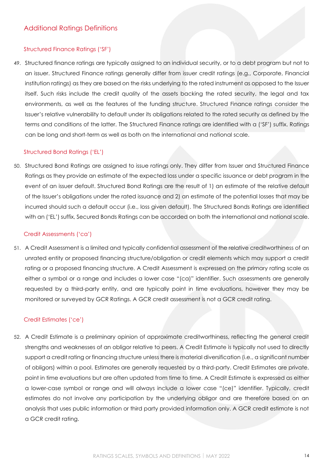## <span id="page-13-0"></span>Structured Finance Ratings ('SF')

49. Structured finance ratings are typically assigned to an individual security, or to a debt program but not to an issuer. Structured Finance ratings generally differ from issuer credit ratings (e.g., Corporate, Financial institution ratings) as they are based on the risks underlying to the rated instrument as opposed to the Issuer itself. Such risks include the credit quality of the assets backing the rated security, the legal and tax environments, as well as the features of the funding structure. Structured Finance ratings consider the Issuer's relative vulnerability to default under its obligations related to the rated security as defined by the terms and conditions of the latter. The Structured Finance ratings are identified with a ('SF') suffix. Ratings can be long and short-term as well as both on the international and national scale.

## Structured Bond Ratings ('EL')

50. Structured Bond Ratings are assigned to issue ratings only. They differ from Issuer and Structured Finance Ratings as they provide an estimate of the expected loss under a specific issuance or debt program in the event of an issuer default. Structured Bond Ratings are the result of 1) an estimate of the relative default of the Issuer's obligations under the rated issuance and 2) an estimate of the potential losses that may be incurred should such a default occur (i.e., loss given default). The Structured Bonds Ratings are identified with an ('EL') suffix, Secured Bonds Ratings can be accorded on both the international and national scale.

## Credit Assessments ('ca')

51. A Credit Assessment is a limited and typically confidential assessment of the relative creditworthiness of an unrated entity or proposed financing structure/obligation or credit elements which may support a credit rating or a proposed financing structure. A Credit Assessment is expressed on the primary rating scale as either a symbol or a range and includes a lower case "(ca)" identifier. Such assessments are generally requested by a third-party entity, and are typically point in time evaluations, however they may be monitored or surveyed by GCR Ratings. A GCR credit assessment is not a GCR credit rating.

## Credit Estimates ('ce')

52. A Credit Estimate is a preliminary opinion of approximate creditworthiness, reflecting the general credit strengths and weaknesses of an obligor relative to peers. A Credit Estimate is typically not used to directly support a credit rating or financing structure unless there is material diversification (i.e., a significant number of obligors) within a pool. Estimates are generally requested by a third-party. Credit Estimates are private, point in time evaluations but are often updated from time to time. A Credit Estimate is expressed as either a lower-case symbol or range and will always include a lower case "(ce)" identifier. Typically, credit estimates do not involve any participation by the underlying obligor and are therefore based on an analysis that uses public information or third party provided information only. A GCR credit estimate is not a GCR credit rating.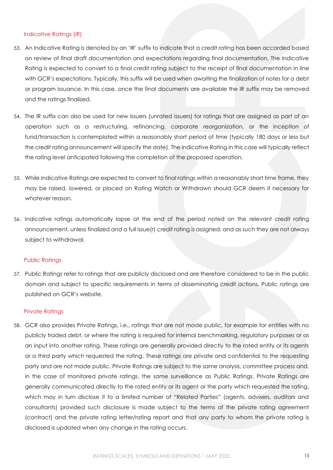#### Indicative Ratings (IR)

- 53. An Indicative Rating is denoted by an 'IR' suffix to indicate that a credit rating has been accorded based on review of final draft documentation and expectations regarding final documentation. The Indicative Rating is expected to convert to a final credit rating subject to the receipt of final documentation in line with GCR's expectations. Typically, this suffix will be used when awaiting the finalization of notes for a debt or program issuance. In this case, once the final documents are available the IR suffix may be removed and the ratings finalized.
- 54. The IR suffix can also be used for new issuers (unrated issuers) for ratings that are assigned as part of an operation such as a restructuring, refinancing, corporate reorganization, or the inception of fund/transaction is contemplated within a reasonably short period of time (typically 180 days or less but the credit rating announcement will specify the date). The Indicative Rating in this case will typically reflect the rating level anticipated following the completion of the proposed operation.
- 55. While Indicative Ratings are expected to convert to final ratings within a reasonably short time frame, they may be raised, lowered, or placed on Rating Watch or Withdrawn should GCR deem it necessary for whatever reason.
- 56. Indicative ratings automatically lapse at the end of the period noted on the relevant credit rating announcement, unless finalized and a full issue(r) credit rating is assigned, and as such they are not always subject to withdrawal.

## Public Ratings

57. Public Ratings refer to ratings that are publicly disclosed and are therefore considered to be in the public domain and subject to specific requirements in terms of disseminating credit actions. Public ratings are published on GCR's website.

## Private Ratings

58. GCR also provides Private Ratings, i.e., ratings that are not made public, for example for entities with no publicly traded debt, or where the rating is required for internal benchmarking, regulatory purposes or as an input into another rating. These ratings are generally provided directly to the rated entity or its agents or a third party which requested the rating. These ratings are private and confidential to the requesting party and are not made public. Private Ratings are subject to the same analysis, committee process and, in the case of monitored private ratings, the same surveillance as Public Ratings. Private Ratings are generally communicated directly to the rated entity or its agent or the party which requested the rating, which may in turn disclose it to a limited number of "Related Parties" (agents, advisers, auditors and consultants) provided such disclosure is made subject to the terms of the private rating agreement (contract) and the private rating letter/rating report and that any party to whom the private rating is disclosed is updated when any change in the rating occurs.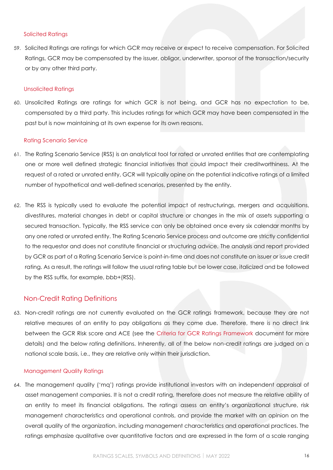#### Solicited Ratings

59. Solicited Ratings are ratings for which GCR may receive or expect to receive compensation. For Solicited Ratings, GCR may be compensated by the issuer, obligor, underwriter, sponsor of the transaction/security or by any other third party.

#### Unsolicited Ratings

60. Unsolicited Ratings are ratings for which GCR is not being, and GCR has no expectation to be, compensated by a third party. This includes ratings for which GCR may have been compensated in the past but is now maintaining at its own expense for its own reasons.

#### Rating Scenario Service

- 61. The Rating Scenario Service (RSS) is an analytical tool for rated or unrated entities that are contemplating one or more well defined strategic financial initiatives that could impact their creditworthiness. At the request of a rated or unrated entity, GCR will typically opine on the potential indicative ratings of a limited number of hypothetical and well-defined scenarios, presented by the entity.
- 62. The RSS is typically used to evaluate the potential impact of restructurings, mergers and acquisitions, divestitures, material changes in debt or capital structure or changes in the mix of assets supporting a secured transaction. Typically, the RSS service can only be obtained once every six calendar months by any one rated or unrated entity. The Rating Scenario Service process and outcome are strictly confidential to the requestor and does not constitute financial or structuring advice. The analysis and report provided by GCR as part of a Rating Scenario Service is point-in-time and does not constitute an issuer or issue credit rating. As a result, the ratings will follow the usual rating table but be lower case, italicized and be followed by the RSS suffix, for example, *bbb+*(RSS).

## <span id="page-15-0"></span>Non-Credit Rating Definitions

63. Non-credit ratings are not currently evaluated on the GCR ratings framework, because they are not relative measures of an entity to pay obligations as they come due. Therefore, there is no direct link between the GCR Risk score and ACE (see the [Criteria for GCR Ratings Framework](https://gcrratings.com/wp-content/uploads/2022/01/GCR_Criteria-for-the-GCR-Ratings-Framework-2022-final.pdf) document for more details) and the below rating definitions. Inherently, all of the below non-credit ratings are judged on a national scale basis, i.e., they are relative only within their jurisdiction.

#### <span id="page-15-1"></span>Management Quality Ratings

64. The management quality ('mq') ratings provide institutional investors with an independent appraisal of asset management companies. It is not a credit rating, therefore does not measure the relative ability of an entity to meet its financial obligations. The ratings assess an entity's organizational structure, risk management characteristics and operational controls, and provide the market with an opinion on the overall quality of the organization, including management characteristics and operational practices. The ratings emphasize qualitative over quantitative factors and are expressed in the form of a scale ranging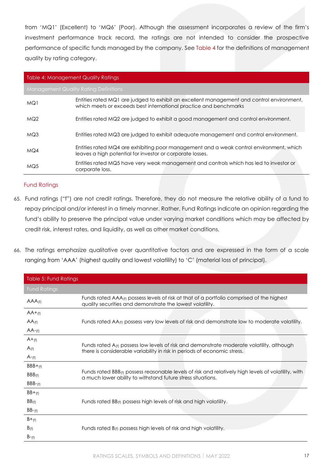from 'MQ1' (Excellent) to 'MQ6' (Poor). Although the assessment incorporates a review of the firm's investment performance track record, the ratings are not intended to consider the prospective performance of specific funds managed by the company. Se[e Table 4](#page-16-1) for the definitions of management quality by rating category.

#### <span id="page-16-1"></span>Table 4: Management Quality Ratings

Management Quality Rating Definitions

| MQ1             | Entities rated MQ1 are judged to exhibit an excellent management and control environment,<br>which meets or exceeds best international practice and benchmarks |
|-----------------|----------------------------------------------------------------------------------------------------------------------------------------------------------------|
| MQ <sub>2</sub> | Entities rated MQ2 are judged to exhibit a good management and control environment.                                                                            |
| MQ3             | Entities rated MQ3 are judged to exhibit adequate management and control environment.                                                                          |
| MQ4             | Entities rated MQ4 are exhibiting poor management and a weak control environment, which<br>leaves a high potential for investor or corporate losses.           |
| MQ5             | Entities rated MQ5 have very weak management and controls which has led to investor or<br>corporate loss.                                                      |

## <span id="page-16-0"></span>Fund Ratings

- 65. Fund ratings ("f") are not credit ratings. Therefore, they do not measure the relative ability of a fund to repay principal and/or interest in a timely manner. Rather, Fund Ratings indicate an opinion regarding the fund's ability to preserve the principal value under varying market conditions which may be affected by credit risk, interest rates, and liquidity, as well as other market conditions.
- 66. The ratings emphasize qualitative over quantitative factors and are expressed in the form of a scale ranging from 'AAA' (highest quality and lowest volatility) to 'C' (material loss of principal).

<span id="page-16-2"></span>

| Table 5: Fund Ratings |                                                                                                                                                                                |  |
|-----------------------|--------------------------------------------------------------------------------------------------------------------------------------------------------------------------------|--|
| <b>Fund Ratings</b>   |                                                                                                                                                                                |  |
| $AAA$ <sub>(f)</sub>  | Funds rated AAA <sub>(f)</sub> possess levels of risk at that of a portfolio comprised of the highest<br>quality securities and demonstrate the lowest volatility.             |  |
| $AA+_{(f)}$           |                                                                                                                                                                                |  |
| $AA_{(f)}$            | Funds rated AA <sub>(f)</sub> possess very low levels of risk and demonstrate low to moderate volatility.                                                                      |  |
| $AA$ -(f)             |                                                                                                                                                                                |  |
| $A+_{(f)}$            |                                                                                                                                                                                |  |
| A(f)                  | Funds rated $A_{(f)}$ possess low levels of risk and demonstrate moderate volatility, although<br>there is considerable variability in risk in periods of economic stress.     |  |
| $A-f$                 |                                                                                                                                                                                |  |
| $BBB+_{(f)}$          |                                                                                                                                                                                |  |
| BBB(f)                | Funds rated BBB <sub>(f)</sub> possess reasonable levels of risk and relatively high levels of volatility, with<br>a much lower ability to withstand future stress situations. |  |
| $BBB-(f)$             |                                                                                                                                                                                |  |
| $BB+_{(f)}$           |                                                                                                                                                                                |  |
| $BB_{(f)}$            | Funds rated BB <sub>(f)</sub> possess high levels of risk and high volatility.                                                                                                 |  |
| $BB-(f)$              |                                                                                                                                                                                |  |
| $B+_{(f)}$            |                                                                                                                                                                                |  |
| B(f)                  | Funds rated B <sub>(f)</sub> possess high levels of risk and high volatility.                                                                                                  |  |
| $B-(f)$               |                                                                                                                                                                                |  |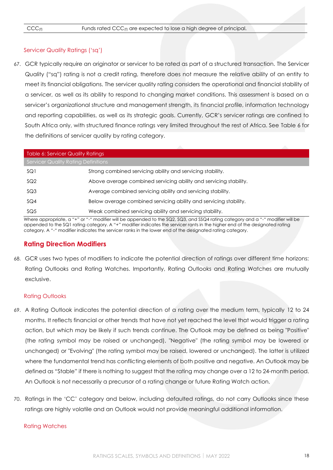#### <span id="page-17-0"></span>Servicer Quality Ratings ('sq')

67. GCR typically require an originator or servicer to be rated as part of a structured transaction. The Servicer Quality ("sq") rating is not a credit rating, therefore does not measure the relative ability of an entity to meet its financial obligations. The servicer quality rating considers the operational and financial stability of a servicer, as well as its ability to respond to changing market conditions. This assessment is based on a servicer's organizational structure and management strength, its financial profile, information technology and reporting capabilities, as well as its strategic goals. Currently, GCR's servicer ratings are confined to South Africa only, with structured finance ratings very limited throughout the rest of Africa. See Table 6 for the definitions of servicer quality by rating category.

<span id="page-17-2"></span>

| Table 6: Servicer Quality Ratings          |                                                                   |  |
|--------------------------------------------|-------------------------------------------------------------------|--|
| <b>Servicer Quality Rating Definitions</b> |                                                                   |  |
| SQ1                                        | Strong combined servicing ability and servicing stability.        |  |
| SQ <sub>2</sub>                            | Above average combined servicing ability and servicing stability. |  |
| SQ3                                        | Average combined servicing ability and servicing stability.       |  |
| SQ4                                        | Below average combined servicing ability and servicing stability. |  |
| SQ <sub>5</sub>                            | Weak combined servicing ability and servicing stability.          |  |

<span id="page-17-1"></span>Where appropriate, a "+" or "-" modifier will be appended to the SQ2, SQ3, and SSQ4 rating category and a "-" modifier will be appended to the SQ1 rating category. A "+" modifier indicates the servicer rants in the higher end of the designated rating category. A "-" modifier indicates the servicer ranks in the lower end of the designated rating category.

## **Rating Direction Modifiers**

68. GCR uses two types of modifiers to indicate the potential direction of ratings over different time horizons: Rating Outlooks and Rating Watches. Importantly, Rating Outlooks and Rating Watches are mutually exclusive.

#### Rating Outlooks

- 69. A Rating Outlook indicates the potential direction of a rating over the medium term, typically 12 to 24 months. It reflects financial or other trends that have not yet reached the level that would trigger a rating action, but which may be likely if such trends continue. The Outlook may be defined as being "Positive" (the rating symbol may be raised or unchanged), "Negative" (the rating symbol may be lowered or unchanged) or "Evolving" (the rating symbol may be raised, lowered or unchanged). The latter is utilized where the fundamental trend has conflicting elements of both positive and negative. An Outlook may be defined as "Stable" if there is nothing to suggest that the rating may change over a 12 to 24-month period. An Outlook is not necessarily a precursor of a rating change or future Rating Watch action.
- 70. Ratings in the 'CC' category and below, including defaulted ratings, do not carry Outlooks since these ratings are highly volatile and an Outlook would not provide meaningful additional information.

#### Rating Watches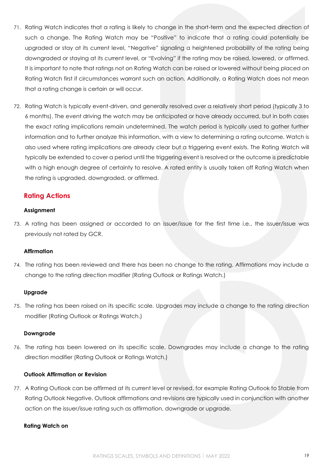- 71. Rating Watch indicates that a rating is likely to change in the short-term and the expected direction of such a change. The Rating Watch may be "Positive" to indicate that a rating could potentially be upgraded or stay at its current level, "Negative" signaling a heightened probability of the rating being downgraded or staying at its current level, or "Evolving" if the rating may be raised, lowered, or affirmed. It is important to note that ratings not on Rating Watch can be raised or lowered without being placed on Rating Watch first if circumstances warrant such an action. Additionally, a Rating Watch does not mean that a rating change is certain or will occur.
- 72. Rating Watch is typically event-driven, and generally resolved over a relatively short period (typically 3 to 6 months). The event driving the watch may be anticipated or have already occurred, but in both cases the exact rating implications remain undetermined. The watch period is typically used to gather further information and to further analyze this information, with a view to determining a rating outcome. Watch is also used where rating implications are already clear but a triggering event exists. The Rating Watch will typically be extended to cover a period until the triggering event is resolved or the outcome is predictable with a high enough degree of certainty to resolve. A rated entity is usually taken off Rating Watch when the rating is upgraded, downgraded, or affirmed.

## **Rating Actions**

## **Assignment**

73. A rating has been assigned or accorded to an issuer/issue for the first time i.e., the issuer/issue was previously not rated by GCR.

## **Affirmation**

74. The rating has been reviewed and there has been no change to the rating. Affirmations may include a change to the rating direction modifier (Rating Outlook or Ratings Watch.)

## **Upgrade**

75. The rating has been raised on its specific scale. Upgrades may include a change to the rating direction modifier (Rating Outlook or Ratings Watch.)

## **Downgrade**

76. The rating has been lowered on its specific scale. Downgrades may include a change to the rating direction modifier (Rating Outlook or Ratings Watch.)

#### **Outlook Affirmation or Revision**

77. A Rating Outlook can be affirmed at its current level or revised, for example Rating Outlook to Stable from Rating Outlook Negative. Outlook affirmations and revisions are typically used in conjunction with another action on the issuer/issue rating such as affirmation, downgrade or upgrade.

#### **Rating Watch on**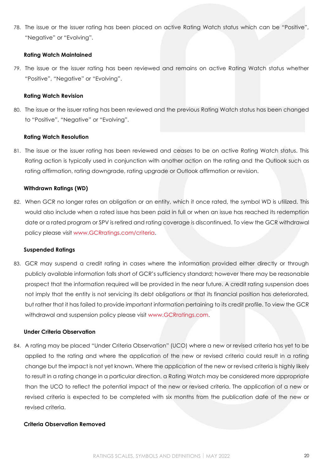78. The issue or the issuer rating has been placed on active Rating Watch status which can be "Positive", "Negative" or "Evolving".

#### **Rating Watch Maintained**

79. The issue or the issuer rating has been reviewed and remains on active Rating Watch status whether "Positive", "Negative" or "Evolving".

#### **Rating Watch Revision**

80. The issue or the issuer rating has been reviewed and the previous Rating Watch status has been changed to "Positive", "Negative" or "Evolving".

#### **Rating Watch Resolution**

81. The issue or the issuer rating has been reviewed and ceases to be on active Rating Watch status. This Rating action is typically used in conjunction with another action on the rating and the Outlook such as rating affirmation, rating downgrade, rating upgrade or Outlook affirmation or revision.

#### **Withdrawn Ratings (WD)**

82. When GCR no longer rates an obligation or an entity, which it once rated, the symbol WD is utilized. This would also include when a rated issue has been paid in full or when an issue has reached its redemption date or a rated program or SPV is retired and rating coverage is discontinued. To view the GCR withdrawal policy please visit [www.GCRratings.com/criteria.](http://gcrratings.com/criteria)

#### **Suspended Ratings**

83. GCR may suspend a credit rating in cases where the information provided either directly or through publicly available information falls short of GCR's sufficiency standard; however there may be reasonable prospect that the information required will be provided in the near future. A credit rating suspension does not imply that the entity is not servicing its debt obligations or that its financial position has deteriorated, but rather that it has failed to provide important information pertaining to its credit profile. To view the GCR withdrawal and suspension policy please visit [www.GCRratings.com.](file:///C:/Users/RhonaB/AppData/Local/Microsoft/Windows/INetCache/Content.Outlook/8CS5WEIB/www.GCRratings.com)

## **Under Criteria Observation**

84. A rating may be placed "Under Criteria Observation" (UCO) where a new or revised criteria has yet to be applied to the rating and where the application of the new or revised criteria could result in a rating change but the impact is not yet known. Where the application of the new or revised criteria is highly likely to result in a rating change in a particular direction, a Rating Watch may be considered more appropriate than the UCO to reflect the potential impact of the new or revised criteria. The application of a new or revised criteria is expected to be completed with six months from the publication date of the new or revised criteria.

## **Criteria Observation Removed**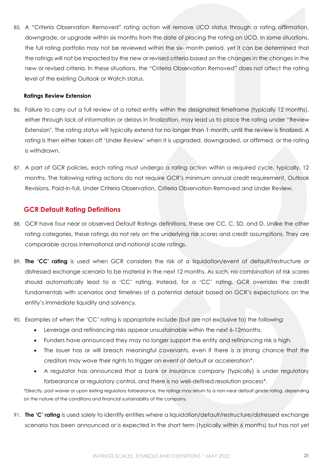85. A "Criteria Observation Removed" rating action will remove UCO status through a rating affirmation, downgrade, or upgrade within six months from the date of placing the rating on UCO. In some situations, the full rating portfolio may not be reviewed within the six- month period, yet it can be determined that the ratings will not be impacted by the new or revised criteria based on the changes in the changes in the new or revised criteria. In these situations, the "Criteria Observation Removed" does not affect the rating level of the existing Outlook or Watch status.

## **Ratings Review Extension**

- 86. Failure to carry out a full review of a rated entity within the designated timeframe (typically 12 months), either through lack of information or delays in finalization, may lead us to place the rating under "Review Extension". The rating status will typically extend for no longer than 1 month, until the review is finalized. A rating is then either taken off 'Under Review' when it is upgraded, downgraded, or affirmed, or the rating is withdrawn.
- 87. A part of GCR policies, each rating must undergo a rating action within a required cycle, typically, 12 months. The following rating actions do not require GCR's minimum annual credit requirement, Outlook Revisions, Paid-in-full, Under Criteria Observation, Criteria Observation Removed and Under Review.

## <span id="page-20-0"></span>**GCR Default Rating Definitions**

- 88. GCR have four near or observed Default Ratings definitions, these are CC, C, SD, and D. Unlike the other rating categories, these ratings do not rely on the underlying risk scores and credit assumptions. They are comparable across international and national scale ratings.
- 89. **The 'CC' rating** is used when GCR considers the risk of a liquidation/event of default/restructure or distressed exchange scenario to be material in the next 12 months. As such, no combination of risk scores should automatically lead to a 'CC' rating. Instead, for a 'CC' rating, GCR overrides the credit fundamentals with scenarios and timelines of a potential default based on GCR's expectations on the entity's immediate liquidity and solvency.
- 90. Examples of when the 'CC' rating is appropriate include (but are not exclusive to) the following:
	- Leverage and refinancing risks appear unsustainable within the next 6-12months.
	- Funders have announced they may no longer support the entity and refinancing risk is high.
	- The issuer has or will breach meaningful covenants, even if there is a strong chance that the creditors may wave their rights to trigger an event of default or acceleration\*.
	- A regulator has announced that a bank or insurance company (typically) is under regulatory forbearance or regulatory control, and there is no well-defined resolution process\*.

\*Directly, post waiver or upon exiting regulatory forbearance, the ratings may return to a non-near default grade rating, depending on the nature of the conditions and financial sustainability of the company.

91. **The 'C' rating** is used solely to identify entities where a liquidation/default/restructure/distressed exchange scenario has been announced or is expected in the short term (typically within 6 months) but has not yet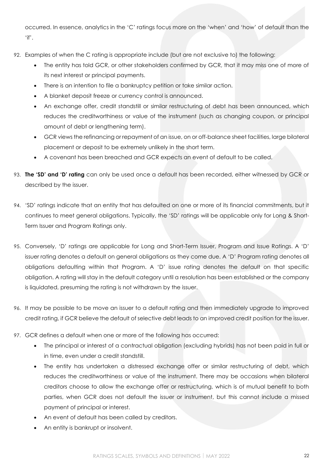occurred. In essence, analytics in the 'C' ratings focus more on the 'when' and 'how' of default than the 'if'.

- 92. Examples of when the C rating is appropriate include (but are not exclusive to) the following:
	- The entity has told GCR, or other stakeholders confirmed by GCR, that it may miss one of more of its next interest or principal payments.
	- There is an intention to file a bankruptcy petition or take similar action.
	- A blanket deposit freeze or currency control is announced.
	- An exchange offer, credit standstill or similar restructuring of debt has been announced, which reduces the creditworthiness or value of the instrument (such as changing coupon, or principal amount of debt or lengthening term).
	- GCR views the refinancing or repayment of an issue, on or off-balance sheet facilities, large bilateral placement or deposit to be extremely unlikely in the short term.
	- A covenant has been breached and GCR expects an event of default to be called.
- 93. **The 'SD' and 'D' rating** can only be used once a default has been recorded, either witnessed by GCR or described by the issuer.
- 94. 'SD' ratings indicate that an entity that has defaulted on one or more of its financial commitments, but it continues to meet general obligations. Typically, the 'SD' ratings will be applicable only for Long & Short-Term Issuer and Program Ratings only.
- 95. Conversely, 'D' ratings are applicable for Long and Short-Term Issuer, Program and Issue Ratings. A 'D' issuer rating denotes a default on general obligations as they come due. A 'D' Program rating denotes all obligations defaulting within that Program. A 'D' issue rating denotes the default on that specific obligation. A rating will stay in the default category until a resolution has been established or the company is liquidated, presuming the rating is not withdrawn by the issuer.
- 96. It may be possible to be move an issuer to a default rating and then immediately upgrade to improved credit rating, if GCR believe the default of selective debt leads to an improved credit position for the issuer.
- 97. GCR defines a default when one or more of the following has occurred:
	- The principal or interest of a contractual obligation (excluding hybrids) has not been paid in full or in time, even under a credit standstill.
	- The entity has undertaken a distressed exchange offer or similar restructuring of debt, which reduces the creditworthiness or value of the instrument. There may be occasions when bilateral creditors choose to allow the exchange offer or restructuring, which is of mutual benefit to both parties, when GCR does not default the issuer or instrument, but this cannot include a missed payment of principal or interest.
	- An event of default has been called by creditors.
	- An entity is bankrupt or insolvent.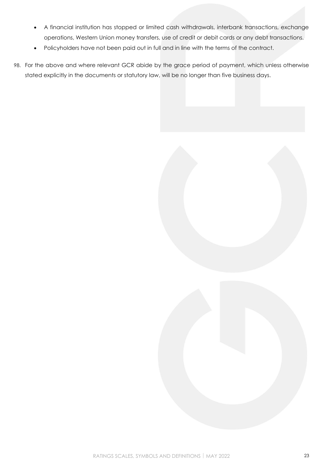- A financial institution has stopped or limited cash withdrawals, interbank transactions, exchange operations, Western Union money transfers, use of credit or debit cards or any debt transactions.
- Policyholders have not been paid out in full and in line with the terms of the contract.
- 98. For the above and where relevant GCR abide by the grace period of payment, which unless otherwise stated explicitly in the documents or statutory law, will be no longer than five business days.